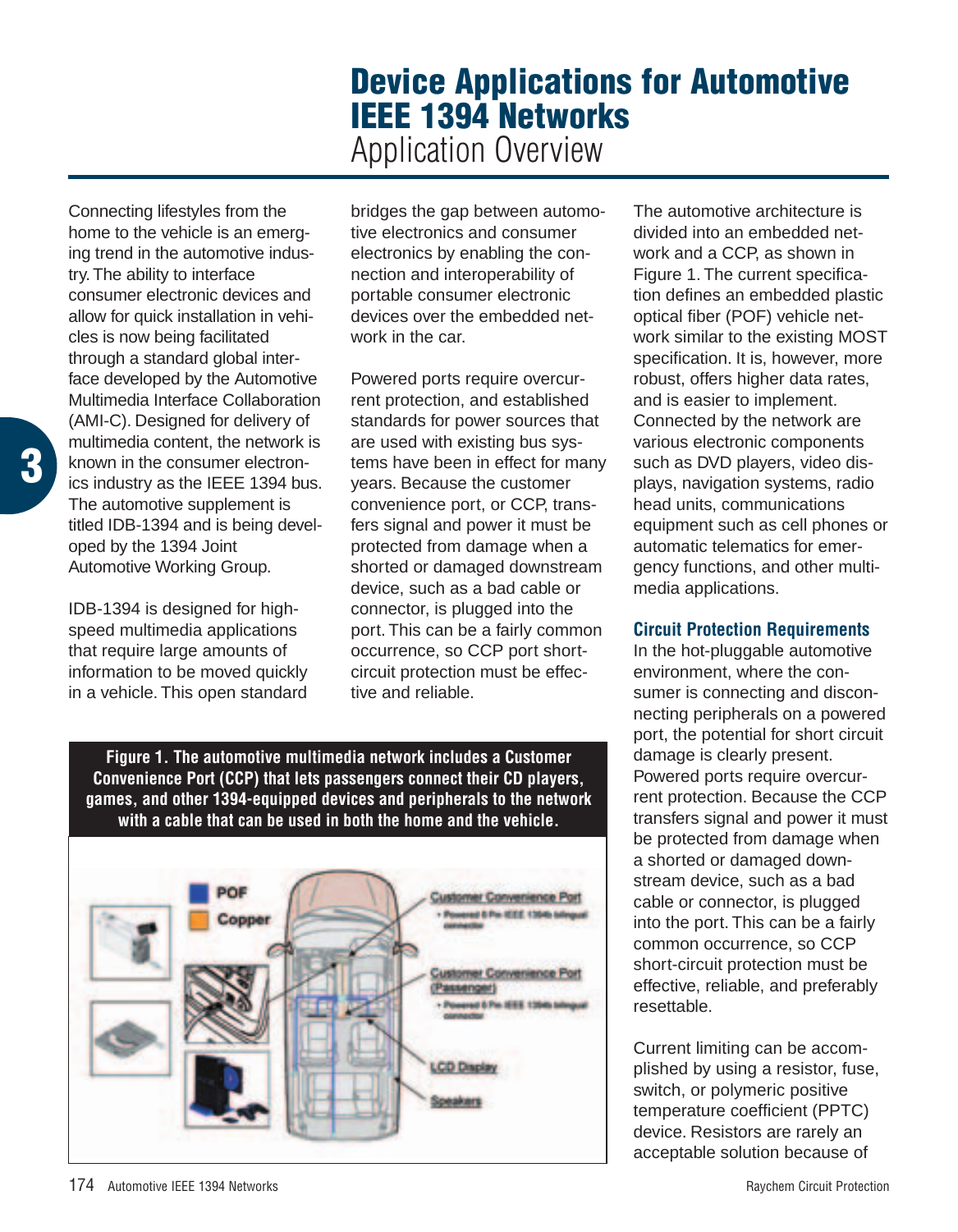## **Device Applications for Automotive IEEE 1394 Networks** Application Overview

Connecting lifestyles from the home to the vehicle is an emerging trend in the automotive industry. The ability to interface consumer electronic devices and allow for quick installation in vehicles is now being facilitated through a standard global interface developed by the Automotive Multimedia Interface Collaboration (AMI-C). Designed for delivery of multimedia content, the network is known in the consumer electronics industry as the IEEE 1394 bus. The automotive supplement is titled IDB-1394 and is being developed by the 1394 Joint Automotive Working Group.

**3**

IDB-1394 is designed for highspeed multimedia applications that require large amounts of information to be moved quickly in a vehicle. This open standard

bridges the gap between automotive electronics and consumer electronics by enabling the connection and interoperability of portable consumer electronic devices over the embedded network in the car.

Powered ports require overcurrent protection, and established standards for power sources that are used with existing bus systems have been in effect for many years. Because the customer convenience port, or CCP, transfers signal and power it must be protected from damage when a shorted or damaged downstream device, such as a bad cable or connector, is plugged into the port. This can be a fairly common occurrence, so CCP port shortcircuit protection must be effective and reliable.

The automotive architecture is divided into an embedded network and a CCP, as shown in Figure 1. The current specification defines an embedded plastic optical fiber (POF) vehicle network similar to the existing MOST specification. It is, however, more robust, offers higher data rates, and is easier to implement. Connected by the network are various electronic components such as DVD players, video displays, navigation systems, radio head units, communications equipment such as cell phones or automatic telematics for emergency functions, and other multimedia applications.

## **Circuit Protection Requirements**

In the hot-pluggable automotive environment, where the consumer is connecting and disconnecting peripherals on a powered port, the potential for short circuit damage is clearly present. Powered ports require overcurrent protection. Because the CCP transfers signal and power it must be protected from damage when a shorted or damaged downstream device, such as a bad cable or connector, is plugged into the port. This can be a fairly common occurrence, so CCP short-circuit protection must be effective, reliable, and preferably resettable.

Current limiting can be accomplished by using a resistor, fuse, switch, or polymeric positive temperature coefficient (PPTC) device. Resistors are rarely an acceptable solution because of

**Figure 1. The automotive multimedia network includes a Customer Convenience Port (CCP) that lets passengers connect their CD players, games, and other 1394-equipped devices and peripherals to the network with a cable that can be used in both the home and the vehicle.**